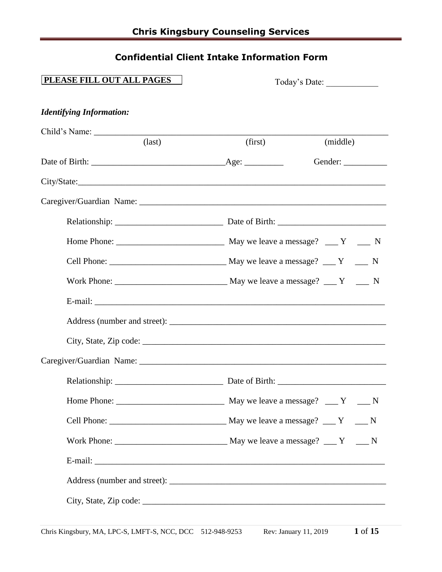# **Confidential Client Intake Information Form**

| PLEASE FILL OUT ALL PAGES       | Today's Date: |          |
|---------------------------------|---------------|----------|
| <b>Identifying Information:</b> |               |          |
|                                 |               |          |
| $\text{(last)}$                 | (first)       | (middle) |
|                                 |               | Gender:  |
|                                 |               |          |
|                                 |               |          |
|                                 |               |          |
|                                 |               |          |
|                                 |               |          |
|                                 |               |          |
|                                 |               |          |
|                                 |               |          |
|                                 |               |          |
|                                 |               |          |
|                                 |               |          |
|                                 |               |          |
|                                 |               |          |
|                                 |               |          |
|                                 |               |          |
|                                 |               |          |
|                                 |               |          |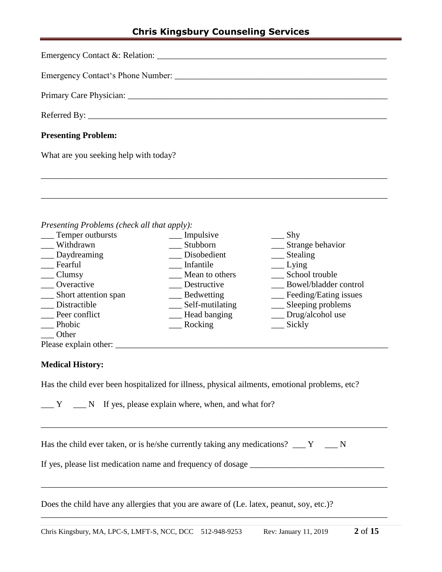| <b>Presenting Problem:</b>                                                                                                                                                                                                                                                                                                                                                                                                                                                                                                |
|---------------------------------------------------------------------------------------------------------------------------------------------------------------------------------------------------------------------------------------------------------------------------------------------------------------------------------------------------------------------------------------------------------------------------------------------------------------------------------------------------------------------------|
| What are you seeking help with today?                                                                                                                                                                                                                                                                                                                                                                                                                                                                                     |
|                                                                                                                                                                                                                                                                                                                                                                                                                                                                                                                           |
|                                                                                                                                                                                                                                                                                                                                                                                                                                                                                                                           |
|                                                                                                                                                                                                                                                                                                                                                                                                                                                                                                                           |
| Presenting Problems (check all that apply):<br>__ Temper outbursts ______ Impulsive<br>Shy<br>$\mathbf{X} \mathbf{Y}^{\dagger}$ and $\mathbf{X} \mathbf{Y}^{\dagger}$ and $\mathbf{X} \mathbf{Y}^{\dagger}$ and $\mathbf{X} \mathbf{Y}^{\dagger}$ and $\mathbf{X} \mathbf{Y}^{\dagger}$ and $\mathbf{X} \mathbf{Y}^{\dagger}$ and $\mathbf{X} \mathbf{Y}^{\dagger}$ and $\mathbf{X} \mathbf{Y}^{\dagger}$ and $\mathbf{X} \mathbf{Y}^{\dagger}$ and $\mathbf{$<br>$\sim$ $\sim$ $\sim$ $\sim$ $\sim$ $\sim$ $\sim$ $\sim$ |

| Withdrawn             | Stubborn          | Strange behavior      |
|-----------------------|-------------------|-----------------------|
| Daydreaming           | Disobedient       | Stealing              |
| Fearful               | Infantile         | Lying                 |
| Clumsy                | Mean to others    | School trouble        |
| Overactive            | Destructive       | Bowel/bladder control |
| Short attention span  | <b>Bedwetting</b> | Feeding/Eating issues |
| Distractible          | Self-mutilating   | Sleeping problems     |
| Peer conflict         | Head banging      | Drug/alcohol use      |
| Phobic                | Rocking           | Sickly                |
| Other                 |                   |                       |
| Please explain other: |                   |                       |

### **Medical History:**

Has the child ever been hospitalized for illness, physical ailments, emotional problems, etc?

|  |  |  | N If yes, please explain where, when, and what for? |  |  |
|--|--|--|-----------------------------------------------------|--|--|
|--|--|--|-----------------------------------------------------|--|--|

| Has the child ever taken, or is he/she currently taking any medications? |  |  |  |
|--------------------------------------------------------------------------|--|--|--|
|                                                                          |  |  |  |

\_\_\_\_\_\_\_\_\_\_\_\_\_\_\_\_\_\_\_\_\_\_\_\_\_\_\_\_\_\_\_\_\_\_\_\_\_\_\_\_\_\_\_\_\_\_\_\_\_\_\_\_\_\_\_\_\_\_\_\_\_\_\_\_\_\_\_\_\_\_\_\_\_\_\_\_\_\_\_\_

\_\_\_\_\_\_\_\_\_\_\_\_\_\_\_\_\_\_\_\_\_\_\_\_\_\_\_\_\_\_\_\_\_\_\_\_\_\_\_\_\_\_\_\_\_\_\_\_\_\_\_\_\_\_\_\_\_\_\_\_\_\_\_\_\_\_\_\_\_\_\_\_\_\_\_\_\_\_\_\_

\_\_\_\_\_\_\_\_\_\_\_\_\_\_\_\_\_\_\_\_\_\_\_\_\_\_\_\_\_\_\_\_\_\_\_\_\_\_\_\_\_\_\_\_\_\_\_\_\_\_\_\_\_\_\_\_\_\_\_\_\_\_\_\_\_\_\_\_\_\_\_\_\_\_\_\_\_\_\_\_

If yes, please list medication name and frequency of dosage \_\_\_\_\_\_\_\_\_\_\_\_\_\_\_\_\_\_\_\_\_\_\_\_\_\_\_\_\_\_\_

Does the child have any allergies that you are aware of (Le. latex, peanut, soy, etc.)?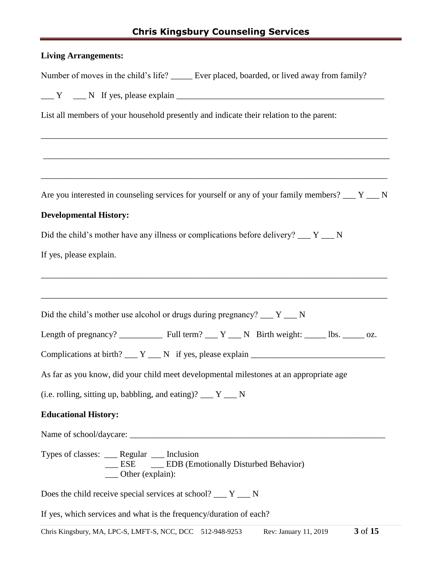# **Chris Kingsbury Counseling Services**

| <b>Living Arrangements:</b>                                                                                                                   |
|-----------------------------------------------------------------------------------------------------------------------------------------------|
| Number of moves in the child's life? _____ Ever placed, boarded, or lived away from family?                                                   |
| $\angle Y$ $\angle N$ If yes, please explain $\angle$                                                                                         |
| List all members of your household presently and indicate their relation to the parent:                                                       |
|                                                                                                                                               |
| Are you interested in counseling services for yourself or any of your family members? $\underline{\hspace{1cm}} Y \underline{\hspace{1cm}} N$ |
| <b>Developmental History:</b>                                                                                                                 |
| Did the child's mother have any illness or complications before delivery? $\underline{\hspace{1cm}} Y \underline{\hspace{1cm}} N$             |
| If yes, please explain.                                                                                                                       |
| Did the child's mother use alcohol or drugs during pregnancy? $\underline{\hspace{1cm}} Y \underline{\hspace{1cm}} N$                         |
|                                                                                                                                               |
| Complications at birth? $Y \_ N$ if yes, please explain $\_$                                                                                  |
| As far as you know, did your child meet developmental milestones at an appropriate age                                                        |
| (i.e. rolling, sitting up, babbling, and eating)? $\underline{\hspace{1cm}} Y \underline{\hspace{1cm}} N$                                     |
| <b>Educational History:</b>                                                                                                                   |
|                                                                                                                                               |
| Types of classes: ___ Regular ___ Inclusion<br>__ ESE __ __ EDB (Emotionally Disturbed Behavior)<br>___ Other (explain):                      |
| Does the child receive special services at school? $\underline{\hspace{1cm}} Y \underline{\hspace{1cm}} N$                                    |
| If yes, which services and what is the frequency/duration of each?                                                                            |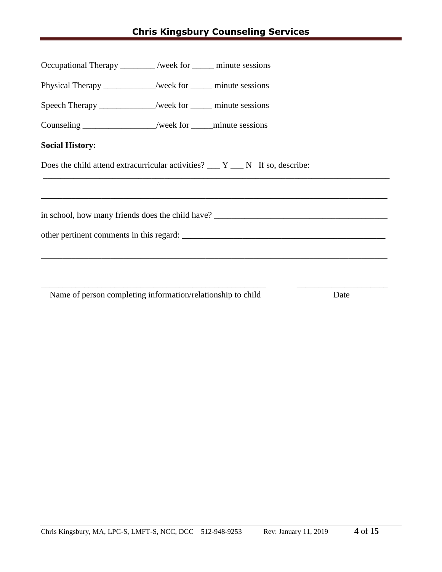| Occupational Therapy _______ /week for ______ minute sessions |                                                                                       |
|---------------------------------------------------------------|---------------------------------------------------------------------------------------|
| Physical Therapy ___________/week for _______ minute sessions |                                                                                       |
| Speech Therapy _____________/week for ______ minute sessions  |                                                                                       |
| Counseling _________________/week for ______ minute sessions  |                                                                                       |
| <b>Social History:</b>                                        |                                                                                       |
|                                                               | Does the child attend extracurricular activities? $Y_{\text{max}}$ N If so, describe: |
|                                                               |                                                                                       |
|                                                               |                                                                                       |
|                                                               | other pertinent comments in this regard:                                              |
|                                                               |                                                                                       |
|                                                               |                                                                                       |
|                                                               |                                                                                       |

Name of person completing information/relationship to child Date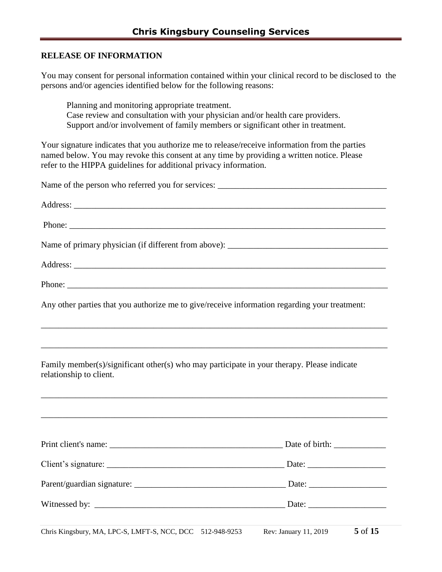### **RELEASE OF INFORMATION**

You may consent for personal information contained within your clinical record to be disclosed to the persons and/or agencies identified below for the following reasons:

Planning and monitoring appropriate treatment. Case review and consultation with your physician and/or health care providers. Support and/or involvement of family members or significant other in treatment.

Your signature indicates that you authorize me to release/receive information from the parties named below. You may revoke this consent at any time by providing a written notice. Please refer to the HIPPA guidelines for additional privacy information.

| Any other parties that you authorize me to give/receive information regarding your treatment:                         |  |
|-----------------------------------------------------------------------------------------------------------------------|--|
|                                                                                                                       |  |
| Family member(s)/significant other(s) who may participate in your therapy. Please indicate<br>relationship to client. |  |
|                                                                                                                       |  |
|                                                                                                                       |  |
|                                                                                                                       |  |
|                                                                                                                       |  |
|                                                                                                                       |  |
|                                                                                                                       |  |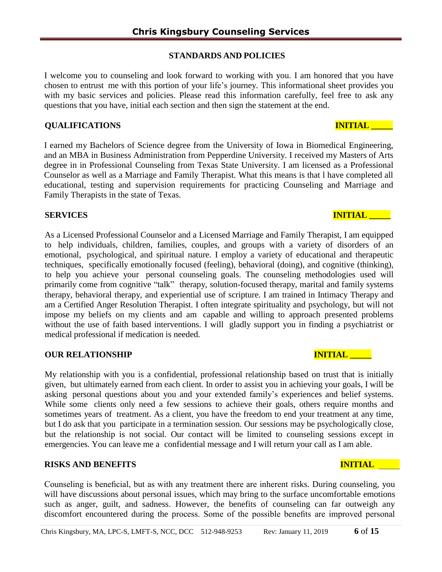# **STANDARDS AND POLICIES**

I welcome you to counseling and look forward to working with you. I am honored that you have chosen to entrust me with this portion of your life's journey. This informational sheet provides you with my basic services and policies. Please read this information carefully, feel free to ask any questions that you have, initial each section and then sign the statement at the end.

# **QUALIFICATIONS INITIAL \_\_\_\_\_**

I earned my Bachelors of Science degree from the University of Iowa in Biomedical Engineering, and an MBA in Business Administration from Pepperdine University. I received my Masters of Arts degree in in Professional Counseling from Texas State University. I am licensed as a Professional Counselor as well as a Marriage and Family Therapist. What this means is that l have completed all educational, testing and supervision requirements for practicing Counseling and Marriage and Family Therapists in the state of Texas.

# **SERVICES** INITIAL **INITIAL**

As a Licensed Professional Counselor and a Licensed Marriage and Family Therapist, I am equipped to help individuals, children, families, couples, and groups with a variety of disorders of an emotional, psychological, and spiritual nature. I employ a variety of educational and therapeutic techniques, specifically emotionally focused (feeling), behavioral (doing), and cognitive (thinking), to help you achieve your personal counseling goals. The counseling methodologies used will primarily come from cognitive "talk" therapy, solution-focused therapy, marital and family systems therapy, behavioral therapy, and experiential use of scripture. I am trained in Intimacy Therapy and am a Certified Anger Resolution Therapist. I often integrate spirituality and psychology, but will not impose my beliefs on my clients and am capable and willing to approach presented problems without the use of faith based interventions. I will gladly support you in finding a psychiatrist or medical professional if medication is needed.

# **OUR RELATIONSHIP INITIAL**

My relationship with you is a confidential, professional relationship based on trust that is initially given, but ultimately earned from each client. In order to assist you in achieving your goals, I will be asking personal questions about you and your extended family's experiences and belief systems. While some clients only need a few sessions to achieve their goals, others require months and sometimes years of treatment. As a client, you have the freedom to end your treatment at any time, but I do ask that you participate in a termination session. Our sessions may be psychologically close, but the relationship is not social. Our contact will be limited to counseling sessions except in emergencies. You can leave me a confidential message and I will return your call as I am able.

# **RISKS AND BENEFITS INITIAL THE RESERVE AND RESERVE ASSESS**

Counseling is beneficial, but as with any treatment there are inherent risks. During counseling, you will have discussions about personal issues, which may bring to the surface uncomfortable emotions such as anger, guilt, and sadness. However, the benefits of counseling can far outweigh any discomfort encountered during the process. Some of the possible benefits are improved personal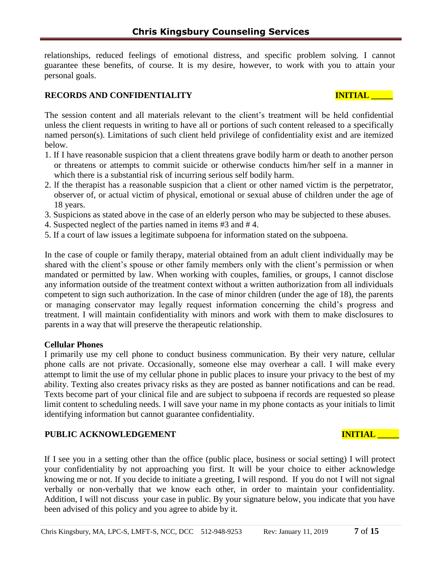relationships, reduced feelings of emotional distress, and specific problem solving. I cannot guarantee these benefits, of course. It is my desire, however, to work with you to attain your personal goals.

# **RECORDS** AND CONFIDENTIALITY **INITIAL**

The session content and all materials relevant to the client's treatment will be held confidential unless the client requests in writing to have all or portions of such content released to a specifically named person(s). Limitations of such client held privilege of confidentiality exist and are itemized below.

- 1. If I have reasonable suspicion that a client threatens grave bodily harm or death to another person or threatens or attempts to commit suicide or otherwise conducts him/her self in a manner in which there is a substantial risk of incurring serious self bodily harm.
- 2. lf the therapist has a reasonable suspicion that a client or other named victim is the perpetrator, observer of, or actual victim of physical, emotional or sexual abuse of children under the age of 18 years.
- 3. Suspicions as stated above in the case of an elderly person who may be subjected to these abuses.
- 4. Suspected neglect of the parties named in items #3 and # 4.
- 5. If a court of law issues a legitimate subpoena for information stated on the subpoena.

In the case of couple or family therapy, material obtained from an adult client individually may be shared with the client's spouse or other family members only with the client's permission or when mandated or permitted by law. When working with couples, families, or groups, I cannot disclose any information outside of the treatment context without a written authorization from all individuals competent to sign such authorization. In the case of minor children (under the age of 18), the parents or managing conservator may legally request information concerning the child's progress and treatment. I will maintain confidentiality with minors and work with them to make disclosures to parents in a way that will preserve the therapeutic relationship.

### **Cellular Phones**

I primarily use my cell phone to conduct business communication. By their very nature, cellular phone calls are not private. Occasionally, someone else may overhear a call. I will make every attempt to limit the use of my cellular phone in public places to insure your privacy to the best of my ability. Texting also creates privacy risks as they are posted as banner notifications and can be read. Texts become part of your clinical file and are subject to subpoena if records are requested so please limit content to scheduling needs. I will save your name in my phone contacts as your initials to limit identifying information but cannot guarantee confidentiality.

## PUBLIC ACKNOWLEDGEMENT **INITIAL LEADERS**

If I see you in a setting other than the office (public place, business or social setting) I will protect your confidentiality by not approaching you first. It will be your choice to either acknowledge knowing me or not. If you decide to initiate a greeting, I will respond. If you do not I will not signal verbally or non-verbally that we know each other, in order to maintain your confidentiality. Addition, I will not discuss your case in public. By your signature below, you indicate that you have been advised of this policy and you agree to abide by it.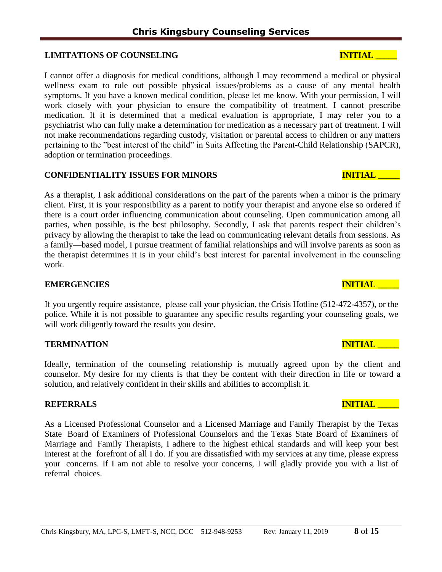## **LIMITATIONS OF COUNSELING INITIAL LEADERS OF SECULIAR INITIAL LEADERS AND INITIAL LEADERS**

I cannot offer a diagnosis for medical conditions, although I may recommend a medical or physical wellness exam to rule out possible physical issues/problems as a cause of any mental health symptoms. If you have a known medical condition, please let me know. With your permission, I will work closely with your physician to ensure the compatibility of treatment. I cannot prescribe medication. If it is determined that a medical evaluation is appropriate, I may refer you to a psychiatrist who can fully make a determination for medication as a necessary part of treatment. I will not make recommendations regarding custody, visitation or parental access to children or any matters pertaining to the "best interest of the child" in Suits Affecting the Parent-Child Relationship (SAPCR), adoption or termination proceedings.

## **CONFIDENTIALITY ISSUES FOR MINORS INITIAL** \_\_\_\_\_

As a therapist, I ask additional considerations on the part of the parents when a minor is the primary client. First, it is your responsibility as a parent to notify your therapist and anyone else so ordered if there is a court order influencing communication about counseling. Open communication among all parties, when possible, is the best philosophy. Secondly, I ask that parents respect their children's privacy by allowing the therapist to take the lead on communicating relevant details from sessions. As a family—based model, I pursue treatment of familial relationships and will involve parents as soon as the therapist determines it is in your child's best interest for parental involvement in the counseling work.

### **EMERGENCIES INITIAL**

If you urgently require assistance, please call your physician, the Crisis Hotline (512-472-4357), or the police. While it is not possible to guarantee any specific results regarding your counseling goals, we will work diligently toward the results you desire.

## **TERMINATION EXECUTE:**

Ideally, termination of the counseling relationship is mutually agreed upon by the client and counselor. My desire for my clients is that they be content with their direction in life or toward a solution, and relatively confident in their skills and abilities to accomplish it.

### **REFERRALS INITIAL**

As a Licensed Professional Counselor and a Licensed Marriage and Family Therapist by the Texas State Board of Examiners of Professional Counselors and the Texas State Board of Examiners of Marriage and Family Therapists, I adhere to the highest ethical standards and will keep your best interest at the forefront of all I do. If you are dissatisfied with my services at any time, please express your concerns. If I am not able to resolve your concerns, I will gladly provide you with a list of referral choices.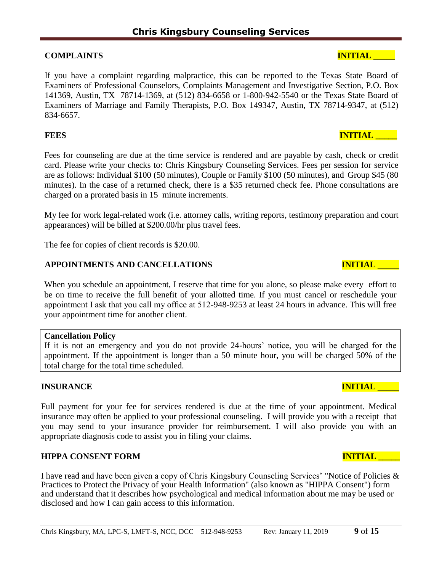## **COMPLAINTS INITIAL**

If you have a complaint regarding malpractice, this can be reported to the Texas State Board of Examiners of Professional Counselors, Complaints Management and Investigative Section, P.O. Box 141369, Austin, TX 78714-1369, at (512) 834-6658 or 1-800-942-5540 or the Texas State Board of Examiners of Marriage and Family Therapists, P.O. Box 149347, Austin, TX 78714-9347, at (512) 834-6657.

## **FEES** INITIAL

Fees for counseling are due at the time service is rendered and are payable by cash, check or credit card. Please write your checks to: Chris Kingsbury Counseling Services. Fees per session for service are as follows: Individual \$100 (50 minutes), Couple or Family \$100 (50 minutes), and Group \$45 (80 minutes). In the case of a returned check, there is a \$35 returned check fee. Phone consultations are charged on a prorated basis in 15 minute increments.

My fee for work legal-related work (i.e. attorney calls, writing reports, testimony preparation and court appearances) will be billed at \$200.00/hr plus travel fees.

The fee for copies of client records is \$20.00.

## **APPOINTMENTS AND CANCELLATIONS INITIAL \_\_\_\_\_**

When you schedule an appointment, I reserve that time for you alone, so please make every effort to be on time to receive the full benefit of your allotted time. If you must cancel or reschedule your appointment I ask that you call my office at 512-948-9253 at least 24 hours in advance. This will free your appointment time for another client.

## **Cancellation Policy**

If it is not an emergency and you do not provide 24-hours' notice, you will be charged for the appointment. If the appointment is longer than a 50 minute hour, you will be charged 50% of the total charge for the total time scheduled.

# **INSURANCE INITIAL**

Full payment for your fee for services rendered is due at the time of your appointment. Medical insurance may often be applied to your professional counseling. I will provide you with a receipt that you may send to your insurance provider for reimbursement. I will also provide you with an appropriate diagnosis code to assist you in filing your claims.

## **HIPPA CONSENT FORM INITIAL LEADER INITIAL LEADER IN**

I have read and have been given a copy of Chris Kingsbury Counseling Services' "Notice of Policies & Practices to Protect the Privacy of your Health Information" (also known as "HIPPA Consent") form and understand that it describes how psychological and medical information about me may be used or disclosed and how I can gain access to this information.

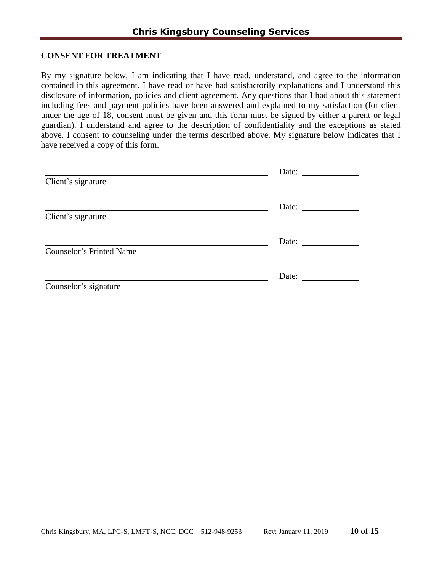### **CONSENT FOR TREATMENT**

By my signature below, I am indicating that I have read, understand, and agree to the information contained in this agreement. I have read or have had satisfactorily explanations and I understand this disclosure of information, policies and client agreement. Any questions that I had about this statement including fees and payment policies have been answered and explained to my satisfaction (for client under the age of 18, consent must be given and this form must be signed by either a parent or legal guardian). I understand and agree to the description of confidentiality and the exceptions as stated above. I consent to counseling under the terms described above. My signature below indicates that I have received a copy of this form.

|                          | Date: |
|--------------------------|-------|
| Client's signature       |       |
|                          | Date: |
| Client's signature       |       |
|                          | Date: |
| Counselor's Printed Name |       |
|                          | Date: |
| Counselor's signature    |       |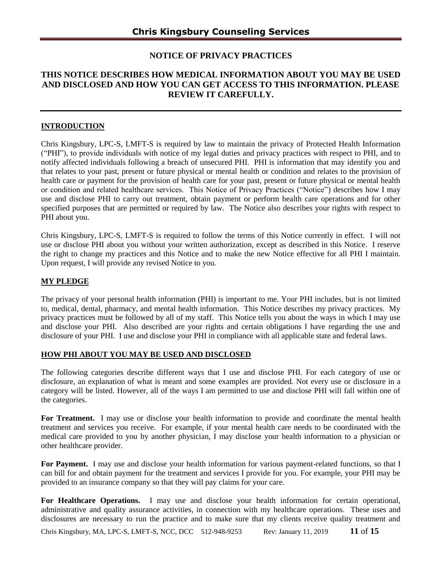### **NOTICE OF PRIVACY PRACTICES**

## **THIS NOTICE DESCRIBES HOW MEDICAL INFORMATION ABOUT YOU MAY BE USED AND DISCLOSED AND HOW YOU CAN GET ACCESS TO THIS INFORMATION. PLEASE REVIEW IT CAREFULLY.**

#### **INTRODUCTION**

Chris Kingsbury, LPC-S, LMFT-S is required by law to maintain the privacy of Protected Health Information ("PHI"), to provide individuals with notice of my legal duties and privacy practices with respect to PHI, and to notify affected individuals following a breach of unsecured PHI. PHI is information that may identify you and that relates to your past, present or future physical or mental health or condition and relates to the provision of health care or payment for the provision of health care for your past, present or future physical or mental health or condition and related healthcare services. This Notice of Privacy Practices ("Notice") describes how I may use and disclose PHI to carry out treatment, obtain payment or perform health care operations and for other specified purposes that are permitted or required by law. The Notice also describes your rights with respect to PHI about you.

Chris Kingsbury, LPC-S, LMFT-S is required to follow the terms of this Notice currently in effect. I will not use or disclose PHI about you without your written authorization, except as described in this Notice. I reserve the right to change my practices and this Notice and to make the new Notice effective for all PHI I maintain. Upon request, I will provide any revised Notice to you.

#### **MY PLEDGE**

The privacy of your personal health information (PHI) is important to me. Your PHI includes, but is not limited to, medical, dental, pharmacy, and mental health information. This Notice describes my privacy practices. My privacy practices must be followed by all of my staff. This Notice tells you about the ways in which I may use and disclose your PHI. Also described are your rights and certain obligations I have regarding the use and disclosure of your PHI. I use and disclose your PHI in compliance with all applicable state and federal laws.

#### **HOW PHI ABOUT YOU MAY BE USED AND DISCLOSED**

The following categories describe different ways that I use and disclose PHI. For each category of use or disclosure, an explanation of what is meant and some examples are provided. Not every use or disclosure in a category will be listed. However, all of the ways I am permitted to use and disclose PHI will fall within one of the categories.

**For Treatment.** I may use or disclose your health information to provide and coordinate the mental health treatment and services you receive. For example, if your mental health care needs to be coordinated with the medical care provided to you by another physician, I may disclose your health information to a physician or other healthcare provider.

**For Payment.** I may use and disclose your health information for various payment-related functions, so that I can bill for and obtain payment for the treatment and services I provide for you. For example, your PHI may be provided to an insurance company so that they will pay claims for your care.

**For Healthcare Operations.** I may use and disclose your health information for certain operational, administrative and quality assurance activities, in connection with my healthcare operations. These uses and disclosures are necessary to run the practice and to make sure that my clients receive quality treatment and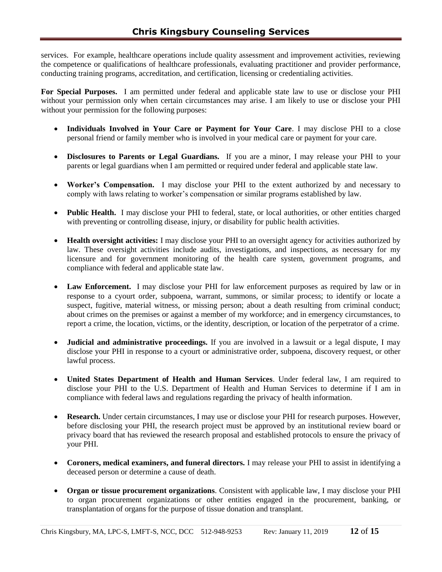services. For example, healthcare operations include quality assessment and improvement activities, reviewing the competence or qualifications of healthcare professionals, evaluating practitioner and provider performance, conducting training programs, accreditation, and certification, licensing or credentialing activities.

**For Special Purposes.** I am permitted under federal and applicable state law to use or disclose your PHI without your permission only when certain circumstances may arise. I am likely to use or disclose your PHI without your permission for the following purposes:

- **Individuals Involved in Your Care or Payment for Your Care**. I may disclose PHI to a close personal friend or family member who is involved in your medical care or payment for your care.
- **Disclosures to Parents or Legal Guardians.** If you are a minor, I may release your PHI to your parents or legal guardians when I am permitted or required under federal and applicable state law.
- **Worker's Compensation.** I may disclose your PHI to the extent authorized by and necessary to comply with laws relating to worker's compensation or similar programs established by law.
- **Public Health.** I may disclose your PHI to federal, state, or local authorities, or other entities charged with preventing or controlling disease, injury, or disability for public health activities.
- **Health oversight activities:** I may disclose your PHI to an oversight agency for activities authorized by law. These oversight activities include audits, investigations, and inspections, as necessary for my licensure and for government monitoring of the health care system, government programs, and compliance with federal and applicable state law.
- **Law Enforcement.** I may disclose your PHI for law enforcement purposes as required by law or in response to a cyourt order, subpoena, warrant, summons, or similar process; to identify or locate a suspect, fugitive, material witness, or missing person; about a death resulting from criminal conduct; about crimes on the premises or against a member of my workforce; and in emergency circumstances, to report a crime, the location, victims, or the identity, description, or location of the perpetrator of a crime.
- **Judicial and administrative proceedings.** If you are involved in a lawsuit or a legal dispute, I may disclose your PHI in response to a cyourt or administrative order, subpoena, discovery request, or other lawful process.
- **United States Department of Health and Human Services**. Under federal law, I am required to disclose your PHI to the U.S. Department of Health and Human Services to determine if I am in compliance with federal laws and regulations regarding the privacy of health information.
- **Research.** Under certain circumstances, I may use or disclose your PHI for research purposes. However, before disclosing your PHI, the research project must be approved by an institutional review board or privacy board that has reviewed the research proposal and established protocols to ensure the privacy of your PHI.
- **Coroners, medical examiners, and funeral directors.** I may release your PHI to assist in identifying a deceased person or determine a cause of death.
- **Organ or tissue procurement organizations**. Consistent with applicable law, I may disclose your PHI to organ procurement organizations or other entities engaged in the procurement, banking, or transplantation of organs for the purpose of tissue donation and transplant.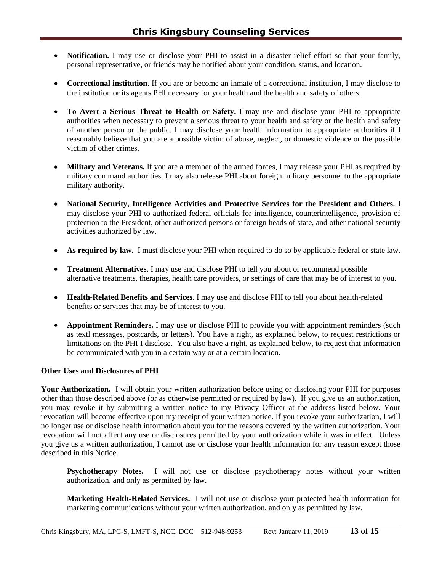- Notification. I may use or disclose your PHI to assist in a disaster relief effort so that your family, personal representative, or friends may be notified about your condition, status, and location.
- **Correctional institution**. If you are or become an inmate of a correctional institution, I may disclose to the institution or its agents PHI necessary for your health and the health and safety of others.
- **To Avert a Serious Threat to Health or Safety.** I may use and disclose your PHI to appropriate authorities when necessary to prevent a serious threat to your health and safety or the health and safety of another person or the public. I may disclose your health information to appropriate authorities if I reasonably believe that you are a possible victim of abuse, neglect, or domestic violence or the possible victim of other crimes.
- **Military and Veterans.** If you are a member of the armed forces, I may release your PHI as required by military command authorities. I may also release PHI about foreign military personnel to the appropriate military authority.
- **National Security, Intelligence Activities and Protective Services for the President and Others.** I may disclose your PHI to authorized federal officials for intelligence, counterintelligence, provision of protection to the President, other authorized persons or foreign heads of state, and other national security activities authorized by law.
- **As required by law.** I must disclose your PHI when required to do so by applicable federal or state law.
- **Treatment Alternatives**. I may use and disclose PHI to tell you about or recommend possible alternative treatments, therapies, health care providers, or settings of care that may be of interest to you.
- **Health-Related Benefits and Services**. I may use and disclose PHI to tell you about health-related benefits or services that may be of interest to you.
- **Appointment Reminders.** I may use or disclose PHI to provide you with appointment reminders (such as textl messages, postcards, or letters). You have a right, as explained below, to request restrictions or limitations on the PHI I disclose. You also have a right, as explained below, to request that information be communicated with you in a certain way or at a certain location.

#### **Other Uses and Disclosures of PHI**

**Your Authorization.** I will obtain your written authorization before using or disclosing your PHI for purposes other than those described above (or as otherwise permitted or required by law). If you give us an authorization, you may revoke it by submitting a written notice to my Privacy Officer at the address listed below. Your revocation will become effective upon my receipt of your written notice. If you revoke your authorization, I will no longer use or disclose health information about you for the reasons covered by the written authorization. Your revocation will not affect any use or disclosures permitted by your authorization while it was in effect. Unless you give us a written authorization, I cannot use or disclose your health information for any reason except those described in this Notice.

**Psychotherapy Notes.** I will not use or disclose psychotherapy notes without your written authorization, and only as permitted by law.

**Marketing Health-Related Services.** I will not use or disclose your protected health information for marketing communications without your written authorization, and only as permitted by law.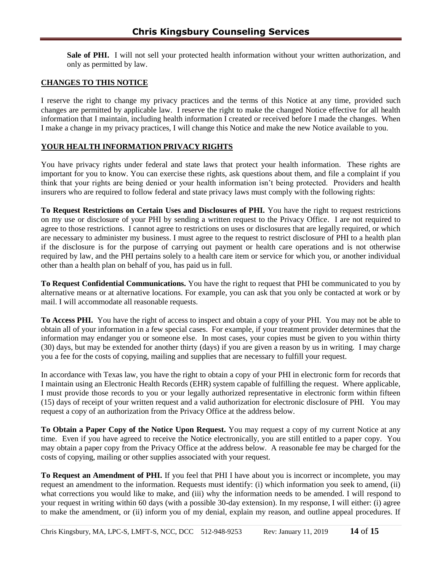**Sale of PHI.** I will not sell your protected health information without your written authorization, and only as permitted by law.

#### **CHANGES TO THIS NOTICE**

I reserve the right to change my privacy practices and the terms of this Notice at any time, provided such changes are permitted by applicable law. I reserve the right to make the changed Notice effective for all health information that I maintain, including health information I created or received before I made the changes. When I make a change in my privacy practices, I will change this Notice and make the new Notice available to you.

#### **YOUR HEALTH INFORMATION PRIVACY RIGHTS**

You have privacy rights under federal and state laws that protect your health information. These rights are important for you to know. You can exercise these rights, ask questions about them, and file a complaint if you think that your rights are being denied or your health information isn't being protected. Providers and health insurers who are required to follow federal and state privacy laws must comply with the following rights:

**To Request Restrictions on Certain Uses and Disclosures of PHI.** You have the right to request restrictions on my use or disclosure of your PHI by sending a written request to the Privacy Office. I are not required to agree to those restrictions. I cannot agree to restrictions on uses or disclosures that are legally required, or which are necessary to administer my business. I must agree to the request to restrict disclosure of PHI to a health plan if the disclosure is for the purpose of carrying out payment or health care operations and is not otherwise required by law, and the PHI pertains solely to a health care item or service for which you, or another individual other than a health plan on behalf of you, has paid us in full.

**To Request Confidential Communications.** You have the right to request that PHI be communicated to you by alternative means or at alternative locations. For example, you can ask that you only be contacted at work or by mail. I will accommodate all reasonable requests.

**To Access PHI.** You have the right of access to inspect and obtain a copy of your PHI. You may not be able to obtain all of your information in a few special cases. For example, if your treatment provider determines that the information may endanger you or someone else. In most cases, your copies must be given to you within thirty (30) days, but may be extended for another thirty (days) if you are given a reason by us in writing. I may charge you a fee for the costs of copying, mailing and supplies that are necessary to fulfill your request.

In accordance with Texas law, you have the right to obtain a copy of your PHI in electronic form for records that I maintain using an Electronic Health Records (EHR) system capable of fulfilling the request. Where applicable, I must provide those records to you or your legally authorized representative in electronic form within fifteen (15) days of receipt of your written request and a valid authorization for electronic disclosure of PHI. You may request a copy of an authorization from the Privacy Office at the address below.

**To Obtain a Paper Copy of the Notice Upon Request.** You may request a copy of my current Notice at any time. Even if you have agreed to receive the Notice electronically, you are still entitled to a paper copy. You may obtain a paper copy from the Privacy Office at the address below. A reasonable fee may be charged for the costs of copying, mailing or other supplies associated with your request.

**To Request an Amendment of PHI.** If you feel that PHI I have about you is incorrect or incomplete, you may request an amendment to the information. Requests must identify: (i) which information you seek to amend, (ii) what corrections you would like to make, and (iii) why the information needs to be amended. I will respond to your request in writing within 60 days (with a possible 30-day extension). In my response, I will either: (i) agree to make the amendment, or (ii) inform you of my denial, explain my reason, and outline appeal procedures. If